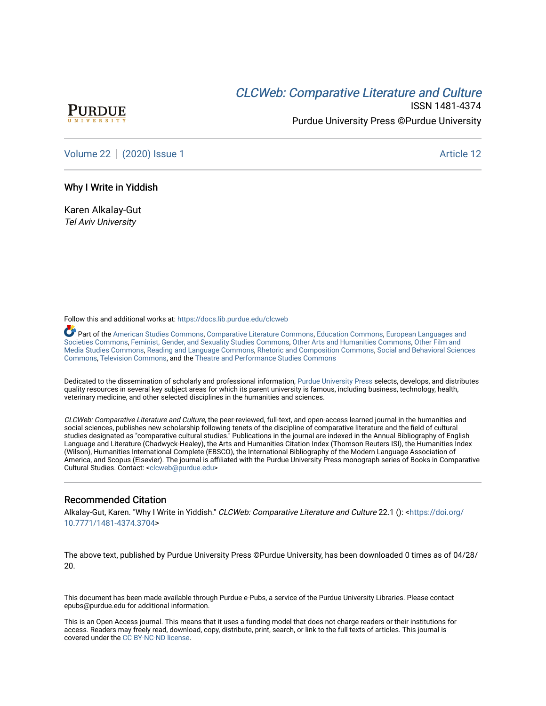# **CLCW[eb: Comparative Liter](https://docs.lib.purdue.edu/clcweb)ature and Culture**



ISSN 1481-4374 Purdue University Press ©Purdue University

[Volume 22](https://docs.lib.purdue.edu/clcweb/vol22) | [\(2020\) Issue 1](https://docs.lib.purdue.edu/clcweb/vol22/iss1) Article 12

#### Why I Write in Yiddish

Karen Alkalay-Gut Tel Aviv University

Follow this and additional works at: [https://docs.lib.purdue.edu/clcweb](https://docs.lib.purdue.edu/clcweb?utm_source=docs.lib.purdue.edu%2Fclcweb%2Fvol22%2Fiss1%2F12&utm_medium=PDF&utm_campaign=PDFCoverPages)

Part of the [American Studies Commons](http://network.bepress.com/hgg/discipline/439?utm_source=docs.lib.purdue.edu%2Fclcweb%2Fvol22%2Fiss1%2F12&utm_medium=PDF&utm_campaign=PDFCoverPages), [Comparative Literature Commons,](http://network.bepress.com/hgg/discipline/454?utm_source=docs.lib.purdue.edu%2Fclcweb%2Fvol22%2Fiss1%2F12&utm_medium=PDF&utm_campaign=PDFCoverPages) [Education Commons,](http://network.bepress.com/hgg/discipline/784?utm_source=docs.lib.purdue.edu%2Fclcweb%2Fvol22%2Fiss1%2F12&utm_medium=PDF&utm_campaign=PDFCoverPages) [European Languages and](http://network.bepress.com/hgg/discipline/482?utm_source=docs.lib.purdue.edu%2Fclcweb%2Fvol22%2Fiss1%2F12&utm_medium=PDF&utm_campaign=PDFCoverPages) [Societies Commons](http://network.bepress.com/hgg/discipline/482?utm_source=docs.lib.purdue.edu%2Fclcweb%2Fvol22%2Fiss1%2F12&utm_medium=PDF&utm_campaign=PDFCoverPages), [Feminist, Gender, and Sexuality Studies Commons,](http://network.bepress.com/hgg/discipline/559?utm_source=docs.lib.purdue.edu%2Fclcweb%2Fvol22%2Fiss1%2F12&utm_medium=PDF&utm_campaign=PDFCoverPages) [Other Arts and Humanities Commons](http://network.bepress.com/hgg/discipline/577?utm_source=docs.lib.purdue.edu%2Fclcweb%2Fvol22%2Fiss1%2F12&utm_medium=PDF&utm_campaign=PDFCoverPages), [Other Film and](http://network.bepress.com/hgg/discipline/565?utm_source=docs.lib.purdue.edu%2Fclcweb%2Fvol22%2Fiss1%2F12&utm_medium=PDF&utm_campaign=PDFCoverPages)  [Media Studies Commons](http://network.bepress.com/hgg/discipline/565?utm_source=docs.lib.purdue.edu%2Fclcweb%2Fvol22%2Fiss1%2F12&utm_medium=PDF&utm_campaign=PDFCoverPages), [Reading and Language Commons](http://network.bepress.com/hgg/discipline/1037?utm_source=docs.lib.purdue.edu%2Fclcweb%2Fvol22%2Fiss1%2F12&utm_medium=PDF&utm_campaign=PDFCoverPages), [Rhetoric and Composition Commons,](http://network.bepress.com/hgg/discipline/573?utm_source=docs.lib.purdue.edu%2Fclcweb%2Fvol22%2Fiss1%2F12&utm_medium=PDF&utm_campaign=PDFCoverPages) [Social and Behavioral Sciences](http://network.bepress.com/hgg/discipline/316?utm_source=docs.lib.purdue.edu%2Fclcweb%2Fvol22%2Fiss1%2F12&utm_medium=PDF&utm_campaign=PDFCoverPages) [Commons,](http://network.bepress.com/hgg/discipline/316?utm_source=docs.lib.purdue.edu%2Fclcweb%2Fvol22%2Fiss1%2F12&utm_medium=PDF&utm_campaign=PDFCoverPages) [Television Commons,](http://network.bepress.com/hgg/discipline/1143?utm_source=docs.lib.purdue.edu%2Fclcweb%2Fvol22%2Fiss1%2F12&utm_medium=PDF&utm_campaign=PDFCoverPages) and the [Theatre and Performance Studies Commons](http://network.bepress.com/hgg/discipline/552?utm_source=docs.lib.purdue.edu%2Fclcweb%2Fvol22%2Fiss1%2F12&utm_medium=PDF&utm_campaign=PDFCoverPages)

Dedicated to the dissemination of scholarly and professional information, [Purdue University Press](http://www.thepress.purdue.edu/) selects, develops, and distributes quality resources in several key subject areas for which its parent university is famous, including business, technology, health, veterinary medicine, and other selected disciplines in the humanities and sciences.

CLCWeb: Comparative Literature and Culture, the peer-reviewed, full-text, and open-access learned journal in the humanities and social sciences, publishes new scholarship following tenets of the discipline of comparative literature and the field of cultural studies designated as "comparative cultural studies." Publications in the journal are indexed in the Annual Bibliography of English Language and Literature (Chadwyck-Healey), the Arts and Humanities Citation Index (Thomson Reuters ISI), the Humanities Index (Wilson), Humanities International Complete (EBSCO), the International Bibliography of the Modern Language Association of America, and Scopus (Elsevier). The journal is affiliated with the Purdue University Press monograph series of Books in Comparative Cultural Studies. Contact: [<clcweb@purdue.edu](mailto:clcweb@purdue.edu)>

## Recommended Citation

Alkalay-Gut, Karen. "Why I Write in Yiddish." CLCWeb: Comparative Literature and Culture 22.1 (): [<https://doi.org/](https://doi.org/10.7771/1481-4374.3704) [10.7771/1481-4374.3704>](https://doi.org/10.7771/1481-4374.3704)

The above text, published by Purdue University Press ©Purdue University, has been downloaded 0 times as of 04/28/ 20.

This document has been made available through Purdue e-Pubs, a service of the Purdue University Libraries. Please contact epubs@purdue.edu for additional information.

This is an Open Access journal. This means that it uses a funding model that does not charge readers or their institutions for access. Readers may freely read, download, copy, distribute, print, search, or link to the full texts of articles. This journal is covered under the [CC BY-NC-ND license.](https://creativecommons.org/licenses/by-nc-nd/4.0/)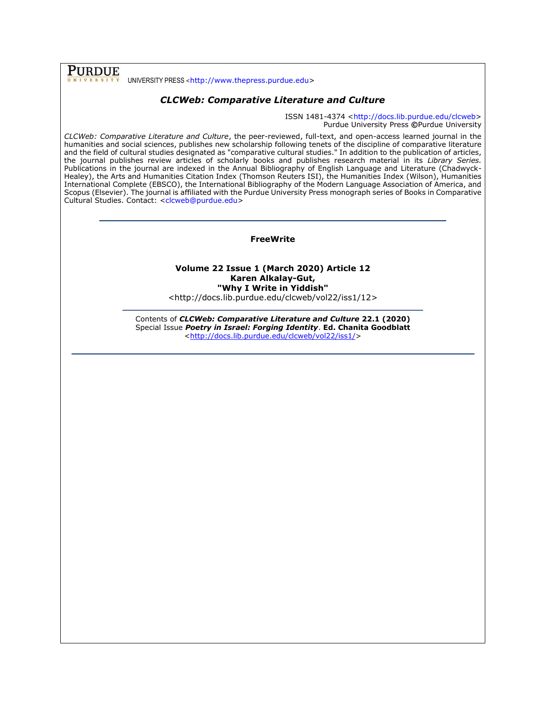UNIVERSITY PRESS <[http://www.thepress.purdue.edu>](http://www.thepress.purdue.edu/)

**PURDUE** 

# *CLCWeb: Comparative Literature and Culture*

ISSN 1481-4374 [<http://docs.lib.purdue.edu/clcweb>](http://docs.lib.purdue.edu/clcweb) Purdue University Press **©**Purdue University

*CLCWeb: Comparative Literature and Culture*, the peer-reviewed, full-text, and open-access learned journal in the humanities and social sciences, publishes new scholarship following tenets of the discipline of comparative literature and the field of cultural studies designated as "comparative cultural studies." In addition to the publication of articles, the journal publishes review articles of scholarly books and publishes research material in its *Library Series.*  Publications in the journal are indexed in the Annual Bibliography of English Language and Literature (Chadwyck-Healey), the Arts and Humanities Citation Index (Thomson Reuters ISI), the Humanities Index (Wilson), Humanities International Complete (EBSCO), the International Bibliography of the Modern Language Association of America, and Scopus (Elsevier). The journal is affiliated with the Purdue University Press monograph series of Books in Comparative Cultural Studies. Contact: [<clcweb@purdue.edu>](mailto:clcweb@purdue.edu)

#### **FreeWrite**

# **Volume 22 Issue 1 (March 2020) Article 12 Karen Alkalay-Gut, "Why I Write in Yiddish"**

<http://docs.lib.purdue.edu/clcweb/vol22/iss1/12>

Contents of *CLCWeb: Comparative Literature and Culture* **22.1 (2020)** Special Issue *Poetry in Israel: Forging Identity*. **Ed. Chanita Goodblatt** [<http://docs.lib.purdue.edu/clcweb/vol22/iss1/>](http://docs.lib.purdue.edu/clcweb/vol22/iss1/)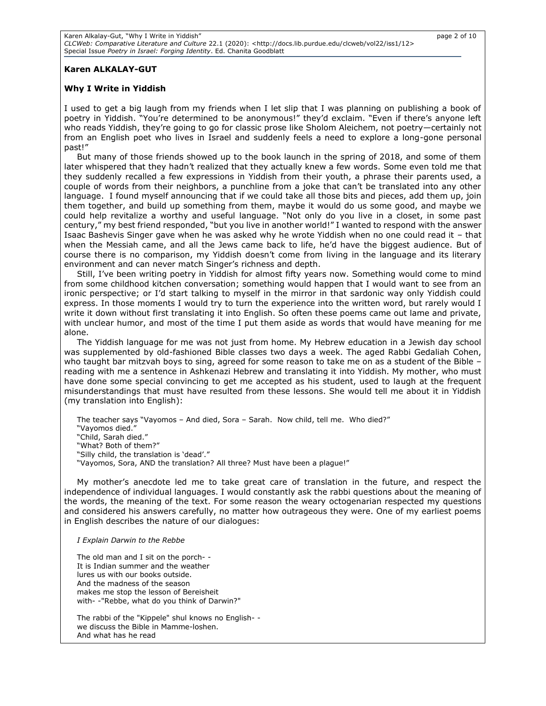### **Karen ALKALAY-GUT**

#### **Why I Write in Yiddish**

I used to get a big laugh from my friends when I let slip that I was planning on publishing a book of poetry in Yiddish. "You're determined to be anonymous!" they'd exclaim. "Even if there's anyone left who reads Yiddish, they're going to go for classic prose like Sholom Aleichem, not poetry—certainly not from an English poet who lives in Israel and suddenly feels a need to explore a long-gone personal past!"

But many of those friends showed up to the book launch in the spring of 2018, and some of them later whispered that they hadn't realized that they actually knew a few words. Some even told me that they suddenly recalled a few expressions in Yiddish from their youth, a phrase their parents used, a couple of words from their neighbors, a punchline from a joke that can't be translated into any other language. I found myself announcing that if we could take all those bits and pieces, add them up, join them together, and build up something from them, maybe it would do us some good, and maybe we could help revitalize a worthy and useful language. "Not only do you live in a closet, in some past century," my best friend responded, "but you live in another world!" I wanted to respond with the answer Isaac Bashevis Singer gave when he was asked why he wrote Yiddish when no one could read it – that when the Messiah came, and all the Jews came back to life, he'd have the biggest audience. But of course there is no comparison, my Yiddish doesn't come from living in the language and its literary environment and can never match Singer's richness and depth.

Still, I've been writing poetry in Yiddish for almost fifty years now. Something would come to mind from some childhood kitchen conversation; something would happen that I would want to see from an ironic perspective; or I'd start talking to myself in the mirror in that sardonic way only Yiddish could express. In those moments I would try to turn the experience into the written word, but rarely would I write it down without first translating it into English. So often these poems came out lame and private, with unclear humor, and most of the time I put them aside as words that would have meaning for me alone.

The Yiddish language for me was not just from home. My Hebrew education in a Jewish day school was supplemented by old-fashioned Bible classes two days a week. The aged Rabbi Gedaliah Cohen, who taught bar mitzvah boys to sing, agreed for some reason to take me on as a student of the Bible reading with me a sentence in Ashkenazi Hebrew and translating it into Yiddish. My mother, who must have done some special convincing to get me accepted as his student, used to laugh at the frequent misunderstandings that must have resulted from these lessons. She would tell me about it in Yiddish (my translation into English):

The teacher says "Vayomos – And died, Sora – Sarah. Now child, tell me. Who died?" "Vayomos died." "Child, Sarah died." "What? Both of them?" "Silly child, the translation is 'dead'." "Vayomos, Sora, AND the translation? All three? Must have been a plague!"

My mother's anecdote led me to take great care of translation in the future, and respect the independence of individual languages. I would constantly ask the rabbi questions about the meaning of the words, the meaning of the text. For some reason the weary octogenarian respected my questions and considered his answers carefully, no matter how outrageous they were. One of my earliest poems in English describes the nature of our dialogues:

*I Explain Darwin to the Rebbe*

The old man and I sit on the porch- - It is Indian summer and the weather lures us with our books outside. And the madness of the season makes me stop the lesson of Bereisheit with- -"Rebbe, what do you think of Darwin?"

The rabbi of the "Kippele" shul knows no English- we discuss the Bible in Mamme-loshen. And what has he read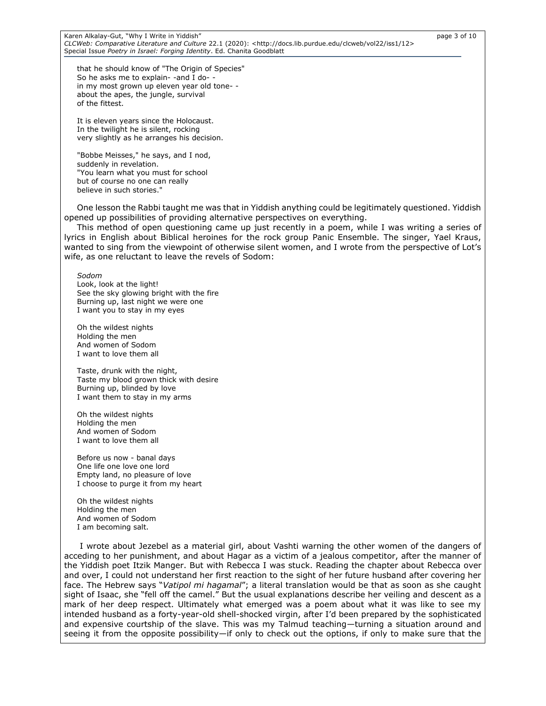Karen Alkalay-Gut, "Why I Write in Yiddish" page 3 of 10 *CLCWeb: Comparative Literature and Culture* 22.1 (2020): <http://docs.lib.purdue.edu/clcweb/vol22/iss1/12> Special Issue *Poetry in Israel: Forging Identity*. Ed. Chanita Goodblatt

that he should know of "The Origin of Species" So he asks me to explain- -and I do- in my most grown up eleven year old tone- about the apes, the jungle, survival of the fittest.

It is eleven years since the Holocaust. In the twilight he is silent, rocking very slightly as he arranges his decision.

"Bobbe Meisses," he says, and I nod, suddenly in revelation. "You learn what you must for school but of course no one can really believe in such stories."

One lesson the Rabbi taught me was that in Yiddish anything could be legitimately questioned. Yiddish opened up possibilities of providing alternative perspectives on everything.

This method of open questioning came up just recently in a poem, while I was writing a series of lyrics in English about Biblical heroines for the rock group Panic Ensemble. The singer, Yael Kraus, wanted to sing from the viewpoint of otherwise silent women, and I wrote from the perspective of Lot's wife, as one reluctant to leave the revels of Sodom:

*Sodom*

Look, look at the light! See the sky glowing bright with the fire Burning up, last night we were one I want you to stay in my eyes

Oh the wildest nights Holding the men And women of Sodom I want to love them all

Taste, drunk with the night, Taste my blood grown thick with desire Burning up, blinded by love I want them to stay in my arms

Oh the wildest nights Holding the men And women of Sodom I want to love them all

Before us now - banal days One life one love one lord Empty land, no pleasure of love I choose to purge it from my heart

Oh the wildest nights Holding the men And women of Sodom I am becoming salt.

I wrote about Jezebel as a material girl, about Vashti warning the other women of the dangers of acceding to her punishment, and about Hagar as a victim of a jealous competitor, after the manner of the Yiddish poet Itzik Manger. But with Rebecca I was stuck. Reading the chapter about Rebecca over and over, I could not understand her first reaction to the sight of her future husband after covering her face. The Hebrew says "*Vatipol mi hagamal*"; a literal translation would be that as soon as she caught sight of Isaac, she "fell off the camel." But the usual explanations describe her veiling and descent as a mark of her deep respect. Ultimately what emerged was a poem about what it was like to see my intended husband as a forty-year-old shell-shocked virgin, after I'd been prepared by the sophisticated and expensive courtship of the slave. This was my Talmud teaching—turning a situation around and seeing it from the opposite possibility—if only to check out the options, if only to make sure that the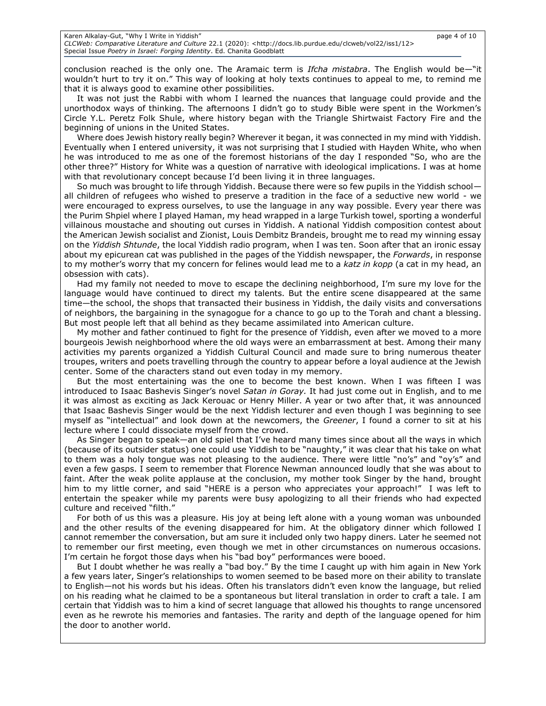conclusion reached is the only one. The Aramaic term is *Ifcha mistabra*. The English would be—"it wouldn't hurt to try it on." This way of looking at holy texts continues to appeal to me, to remind me that it is always good to examine other possibilities.

It was not just the Rabbi with whom I learned the nuances that language could provide and the unorthodox ways of thinking. The afternoons I didn't go to study Bible were spent in the Workmen's Circle Y.L. Peretz Folk Shule, where history began with the Triangle Shirtwaist Factory Fire and the beginning of unions in the United States.

Where does Jewish history really begin? Wherever it began, it was connected in my mind with Yiddish. Eventually when I entered university, it was not surprising that I studied with Hayden White, who when he was introduced to me as one of the foremost historians of the day I responded "So, who are the other three?" History for White was a question of narrative with ideological implications. I was at home with that revolutionary concept because I'd been living it in three languages.

So much was brought to life through Yiddish. Because there were so few pupils in the Yiddish school all children of refugees who wished to preserve a tradition in the face of a seductive new world - we were encouraged to express ourselves, to use the language in any way possible. Every year there was the Purim Shpiel where I played Haman, my head wrapped in a large Turkish towel, sporting a wonderful villainous moustache and shouting out curses in Yiddish. A national Yiddish composition contest about the American Jewish socialist and Zionist, Louis Dembitz Brandeis, brought me to read my winning essay on the *Yiddish Shtunde*, the local Yiddish radio program, when I was ten. Soon after that an ironic essay about my epicurean cat was published in the pages of the Yiddish newspaper, the *Forwards*, in response to my mother's worry that my concern for felines would lead me to a *katz in kopp* (a cat in my head, an obsession with cats).

Had my family not needed to move to escape the declining neighborhood, I'm sure my love for the language would have continued to direct my talents. But the entire scene disappeared at the same time—the school, the shops that transacted their business in Yiddish, the daily visits and conversations of neighbors, the bargaining in the synagogue for a chance to go up to the Torah and chant a blessing. But most people left that all behind as they became assimilated into American culture.

My mother and father continued to fight for the presence of Yiddish, even after we moved to a more bourgeois Jewish neighborhood where the old ways were an embarrassment at best. Among their many activities my parents organized a Yiddish Cultural Council and made sure to bring numerous theater troupes, writers and poets travelling through the country to appear before a loyal audience at the Jewish center. Some of the characters stand out even today in my memory.

But the most entertaining was the one to become the best known. When I was fifteen I was introduced to Isaac Bashevis Singer's novel *Satan in Goray.* It had just come out in English, and to me it was almost as exciting as Jack Kerouac or Henry Miller. A year or two after that, it was announced that Isaac Bashevis Singer would be the next Yiddish lecturer and even though I was beginning to see myself as "intellectual" and look down at the newcomers, the *Greener*, I found a corner to sit at his lecture where I could dissociate myself from the crowd.

As Singer began to speak—an old spiel that I've heard many times since about all the ways in which (because of its outsider status) one could use Yiddish to be "naughty," it was clear that his take on what to them was a holy tongue was not pleasing to the audience. There were little "no's" and "oy's" and even a few gasps. I seem to remember that Florence Newman announced loudly that she was about to faint. After the weak polite applause at the conclusion, my mother took Singer by the hand, brought him to my little corner, and said "HERE is a person who appreciates your approach!" I was left to entertain the speaker while my parents were busy apologizing to all their friends who had expected culture and received "filth."

For both of us this was a pleasure. His joy at being left alone with a young woman was unbounded and the other results of the evening disappeared for him. At the obligatory dinner which followed I cannot remember the conversation, but am sure it included only two happy diners. Later he seemed not to remember our first meeting, even though we met in other circumstances on numerous occasions. I'm certain he forgot those days when his "bad boy" performances were booed.

But I doubt whether he was really a "bad boy." By the time I caught up with him again in New York a few years later, Singer's relationships to women seemed to be based more on their ability to translate to English—not his words but his ideas. Often his translators didn't even know the language, but relied on his reading what he claimed to be a spontaneous but literal translation in order to craft a tale. I am certain that Yiddish was to him a kind of secret language that allowed his thoughts to range uncensored even as he rewrote his memories and fantasies. The rarity and depth of the language opened for him the door to another world.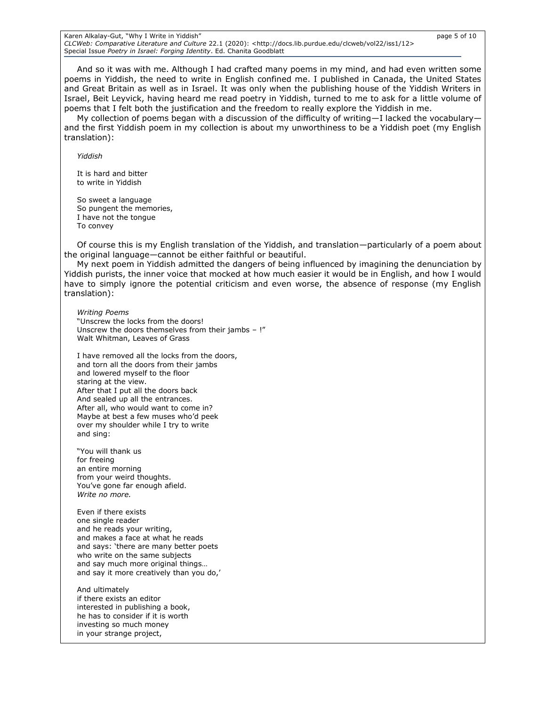#### Karen Alkalay-Gut, "Why I Write in Yiddish" page 5 of 10 *CLCWeb: Comparative Literature and Culture* 22.1 (2020): <http://docs.lib.purdue.edu/clcweb/vol22/iss1/12> Special Issue *Poetry in Israel: Forging Identity*. Ed. Chanita Goodblatt

And so it was with me. Although I had crafted many poems in my mind, and had even written some poems in Yiddish, the need to write in English confined me. I published in Canada, the United States and Great Britain as well as in Israel. It was only when the publishing house of the Yiddish Writers in Israel, Beit Leyvick, having heard me read poetry in Yiddish, turned to me to ask for a little volume of poems that I felt both the justification and the freedom to really explore the Yiddish in me.

My collection of poems began with a discussion of the difficulty of writing-I lacked the vocabularyand the first Yiddish poem in my collection is about my unworthiness to be a Yiddish poet (my English translation):

*Yiddish*

It is hard and bitter to write in Yiddish

So sweet a language So pungent the memories, I have not the tongue To convey

Of course this is my English translation of the Yiddish, and translation—particularly of a poem about the original language—cannot be either faithful or beautiful.

My next poem in Yiddish admitted the dangers of being influenced by imagining the denunciation by Yiddish purists, the inner voice that mocked at how much easier it would be in English, and how I would have to simply ignore the potential criticism and even worse, the absence of response (my English translation):

*Writing Poems* "Unscrew the locks from the doors! Unscrew the doors themselves from their jambs – !" Walt Whitman, Leaves of Grass

I have removed all the locks from the doors, and torn all the doors from their jambs and lowered myself to the floor staring at the view. After that I put all the doors back And sealed up all the entrances. After all, who would want to come in? Maybe at best a few muses who'd peek over my shoulder while I try to write and sing:

"You will thank us for freeing an entire morning from your weird thoughts. You've gone far enough afield. *Write no more.*

Even if there exists one single reader and he reads your writing, and makes a face at what he reads and says: 'there are many better poets who write on the same subjects and say much more original things… and say it more creatively than you do,'

And ultimately if there exists an editor interested in publishing a book, he has to consider if it is worth investing so much money in your strange project,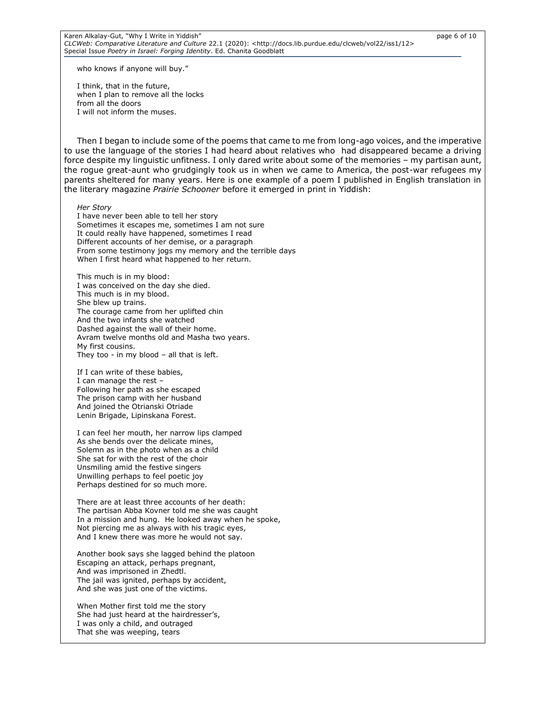who knows if anyone will buy."

I think, that in the future, when I plan to remove all the locks from all the doors I will not inform the muses.

Then I began to include some of the poems that came to me from long-ago voices, and the imperative to use the language of the stories I had heard about relatives who had disappeared became a driving force despite my linguistic unfitness. I only dared write about some of the memories – my partisan aunt, the rogue great-aunt who grudgingly took us in when we came to America, the post-war refugees my parents sheltered for many years. Here is one example of a poem I published in English translation in the literary magazine *Prairie Schooner* before it emerged in print in Yiddish:

*Her Story*

I have never been able to tell her story Sometimes it escapes me, sometimes I am not sure It could really have happened, sometimes I read Different accounts of her demise, or a paragraph From some testimony jogs my memory and the terrible days When I first heard what happened to her return.

This much is in my blood: I was conceived on the day she died. This much is in my blood. She blew up trains. The courage came from her uplifted chin And the two infants she watched Dashed against the wall of their home. Avram twelve months old and Masha two years. My first cousins. They too - in my blood – all that is left.

If I can write of these babies, I can manage the rest – Following her path as she escaped The prison camp with her husband And joined the Otrianski Otriade Lenin Brigade, Lipinskana Forest.

I can feel her mouth, her narrow lips clamped As she bends over the delicate mines, Solemn as in the photo when as a child She sat for with the rest of the choir Unsmiling amid the festive singers Unwilling perhaps to feel poetic joy Perhaps destined for so much more.

There are at least three accounts of her death: The partisan Abba Kovner told me she was caught In a mission and hung. He looked away when he spoke, Not piercing me as always with his tragic eyes, And I knew there was more he would not say.

Another book says she lagged behind the platoon Escaping an attack, perhaps pregnant, And was imprisoned in Zhedtl. The jail was ignited, perhaps by accident, And she was just one of the victims.

When Mother first told me the story She had just heard at the hairdresser's, I was only a child, and outraged That she was weeping, tears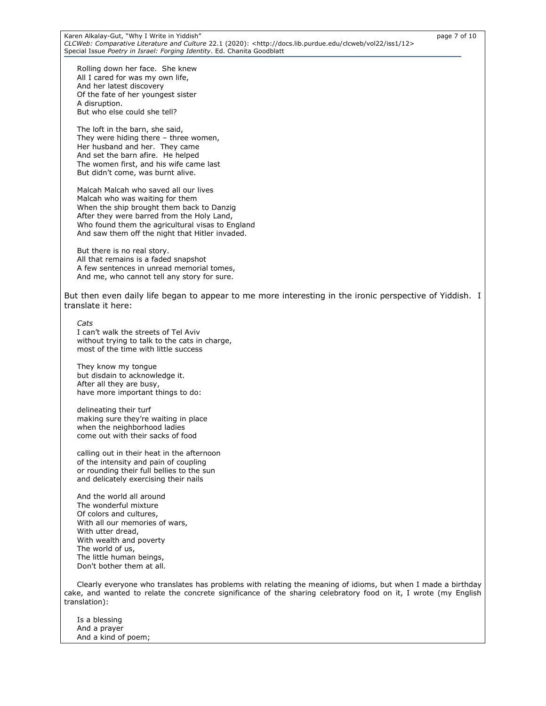Rolling down her face. She knew All I cared for was my own life, And her latest discovery Of the fate of her youngest sister A disruption. But who else could she tell?

The loft in the barn, she said, They were hiding there – three women, Her husband and her. They came And set the barn afire. He helped The women first, and his wife came last But didn't come, was burnt alive.

Malcah Malcah who saved all our lives Malcah who was waiting for them When the ship brought them back to Danzig After they were barred from the Holy Land, Who found them the agricultural visas to England And saw them off the night that Hitler invaded.

But there is no real story. All that remains is a faded snapshot A few sentences in unread memorial tomes, And me, who cannot tell any story for sure.

But then even daily life began to appear to me more interesting in the ironic perspective of Yiddish. I translate it here:

*Cats* I can't walk the streets of Tel Aviv without trying to talk to the cats in charge, most of the time with little success

They know my tongue but disdain to acknowledge it. After all they are busy, have more important things to do:

delineating their turf making sure they're waiting in place when the neighborhood ladies come out with their sacks of food

calling out in their heat in the afternoon of the intensity and pain of coupling or rounding their full bellies to the sun and delicately exercising their nails

And the world all around The wonderful mixture Of colors and cultures, With all our memories of wars, With utter dread, With wealth and poverty The world of us, The little human beings, Don't bother them at all.

Clearly everyone who translates has problems with relating the meaning of idioms, but when I made a birthday cake, and wanted to relate the concrete significance of the sharing celebratory food on it, I wrote (my English translation):

Is a blessing And a prayer And a kind of poem;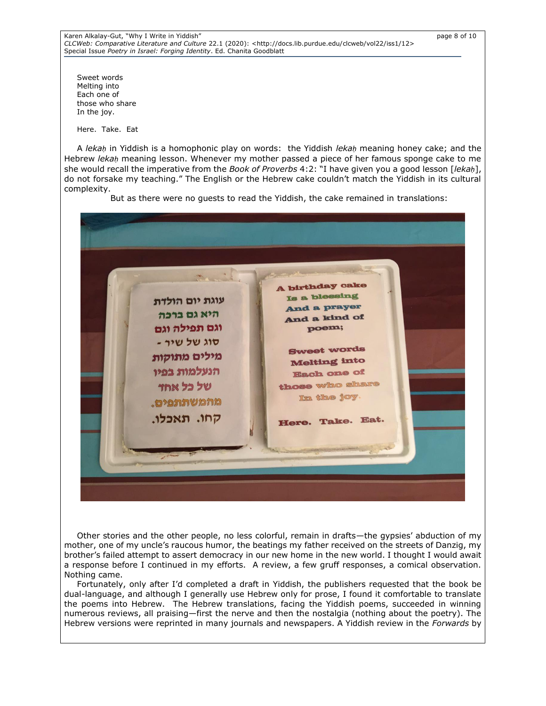Karen Alkalay-Gut, "Why I Write in Yiddish" page 8 of 10 *CLCWeb: Comparative Literature and Culture* 22.1 (2020): <http://docs.lib.purdue.edu/clcweb/vol22/iss1/12> Special Issue *Poetry in Israel: Forging Identity*. Ed. Chanita Goodblatt

Sweet words Melting into Each one of those who share In the joy.

Here. Take. Eat

A *lekaḥ* in Yiddish is a homophonic play on words: the Yiddish *lekaḥ* meaning honey cake; and the Hebrew *lekaḥ* meaning lesson. Whenever my mother passed a piece of her famous sponge cake to me she would recall the imperative from the *Book of Proverbs* 4:2: "I have given you a good lesson [*lekaḥ*], do not forsake my teaching." The English or the Hebrew cake couldn't match the Yiddish in its cultural complexity.

But as there were no guests to read the Yiddish, the cake remained in translations:



Other stories and the other people, no less colorful, remain in drafts—the gypsies' abduction of my mother, one of my uncle's raucous humor, the beatings my father received on the streets of Danzig, my brother's failed attempt to assert democracy in our new home in the new world. I thought I would await a response before I continued in my efforts. A review, a few gruff responses, a comical observation. Nothing came.

Fortunately, only after I'd completed a draft in Yiddish, the publishers requested that the book be dual-language, and although I generally use Hebrew only for prose, I found it comfortable to translate the poems into Hebrew. The Hebrew translations, facing the Yiddish poems, succeeded in winning numerous reviews, all praising—first the nerve and then the nostalgia (nothing about the poetry). The Hebrew versions were reprinted in many journals and newspapers. A Yiddish review in the *Forwards* by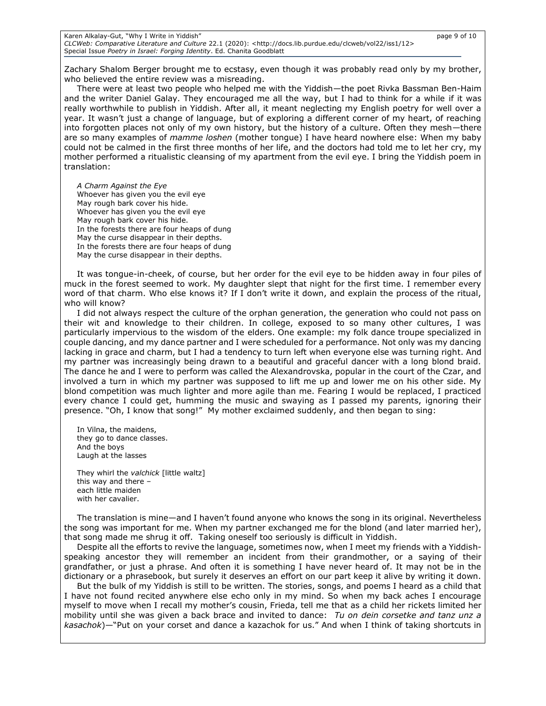Zachary Shalom Berger brought me to ecstasy, even though it was probably read only by my brother, who believed the entire review was a misreading.

There were at least two people who helped me with the Yiddish—the poet Rivka Bassman Ben-Haim and the writer Daniel Galay. They encouraged me all the way, but I had to think for a while if it was really worthwhile to publish in Yiddish. After all, it meant neglecting my English poetry for well over a year. It wasn't just a change of language, but of exploring a different corner of my heart, of reaching into forgotten places not only of my own history, but the history of a culture. Often they mesh—there are so many examples of *mamme loshen* (mother tongue) I have heard nowhere else: When my baby could not be calmed in the first three months of her life, and the doctors had told me to let her cry, my mother performed a ritualistic cleansing of my apartment from the evil eye. I bring the Yiddish poem in translation:

*A Charm Against the Eye* Whoever has given you the evil eye May rough bark cover his hide. Whoever has given you the evil eye May rough bark cover his hide. In the forests there are four heaps of dung May the curse disappear in their depths. In the forests there are four heaps of dung May the curse disappear in their depths.

It was tongue-in-cheek, of course, but her order for the evil eye to be hidden away in four piles of muck in the forest seemed to work. My daughter slept that night for the first time. I remember every word of that charm. Who else knows it? If I don't write it down, and explain the process of the ritual, who will know?

I did not always respect the culture of the orphan generation, the generation who could not pass on their wit and knowledge to their children. In college, exposed to so many other cultures, I was particularly impervious to the wisdom of the elders. One example: my folk dance troupe specialized in couple dancing, and my dance partner and I were scheduled for a performance. Not only was my dancing lacking in grace and charm, but I had a tendency to turn left when everyone else was turning right. And my partner was increasingly being drawn to a beautiful and graceful dancer with a long blond braid. The dance he and I were to perform was called the Alexandrovska, popular in the court of the Czar, and involved a turn in which my partner was supposed to lift me up and lower me on his other side. My blond competition was much lighter and more agile than me. Fearing I would be replaced, I practiced every chance I could get, humming the music and swaying as I passed my parents, ignoring their presence. "Oh, I know that song!" My mother exclaimed suddenly, and then began to sing:

In Vilna, the maidens, they go to dance classes. And the boys Laugh at the lasses

They whirl the *valchick* [little waltz] this way and there – each little maiden with her cavalier.

The translation is mine—and I haven't found anyone who knows the song in its original. Nevertheless the song was important for me. When my partner exchanged me for the blond (and later married her), that song made me shrug it off. Taking oneself too seriously is difficult in Yiddish.

Despite all the efforts to revive the language, sometimes now, when I meet my friends with a Yiddishspeaking ancestor they will remember an incident from their grandmother, or a saying of their grandfather, or just a phrase. And often it is something I have never heard of. It may not be in the dictionary or a phrasebook, but surely it deserves an effort on our part keep it alive by writing it down.

But the bulk of my Yiddish is still to be written. The stories, songs, and poems I heard as a child that I have not found recited anywhere else echo only in my mind. So when my back aches I encourage myself to move when I recall my mother's cousin, Frieda, tell me that as a child her rickets limited her mobility until she was given a back brace and invited to dance: *Tu on dein corsetke and tanz unz a kasachok*)—"Put on your corset and dance a kazachok for us." And when I think of taking shortcuts in